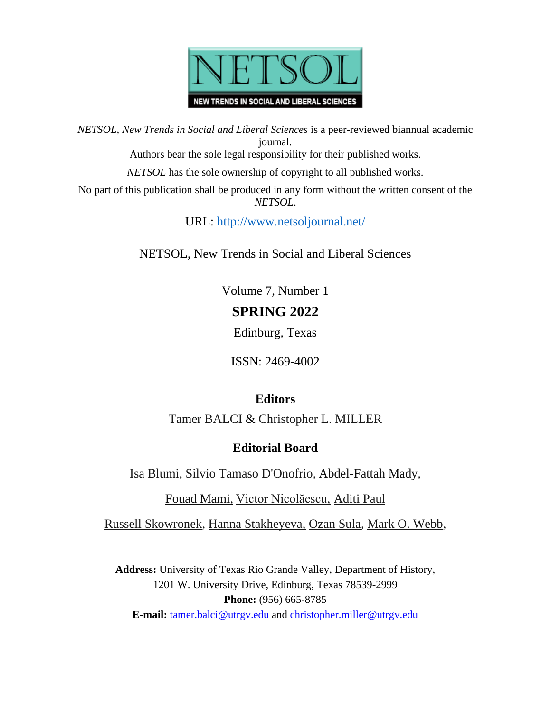

*NETSOL, New Trends in Social and Liberal Sciences* is a peer-reviewed biannual academic journal.

Authors bear the sole legal responsibility for their published works.

*NETSOL* has the sole ownership of copyright to all published works.

No part of this publication shall be produced in any form without the written consent of the *NETSOL*.

URL:<http://www.netsoljournal.net/>

NETSOL, New Trends in Social and Liberal Sciences

Volume 7, Number 1 **SPRING 2022**

Edinburg, Texas

ISSN: 2469-4002

### **Editors**

[Tamer BALCI](https://webapps.utrgv.edu/aa/dm/index.cfm?action=profile&user=tamer.balci) & [Christopher L. MILLER](https://webapps.utrgv.edu/aa/dm/index.cfm?action=profile&user=christopher.miller)

### **Editorial Board**

[Isa Blumi,](https://www.su.se/english/profiles/iblum-1.253921) [Silvio Tamaso D'Onofrio,](https://orcid.org/0000-0002-6266-9354) [Abdel-Fattah Mady,](https://page.academia.edu/AbdelfattahMady?fbclid=IwAR3pO5TfM8ZiA79LxP01DI10EFdgHUU4YM2FLBBq02Kl1PMkKjFs8eeE9JY)

[Fouad Mami,](https://univ-adrar.academia.edu/univadraracademiaedu) [Victor Nicolăescu,](http://www.inclusivactiv.ro/wp-content/uploads/cv-Victor-N.-Martie-2013.pdf) [Aditi Paul](https://niice.org.np/user/dr.aditi.paul)

[Russell Skowronek,](https://webapps.utrgv.edu/aa/dm/index.cfm?action=profile&user=russell.skowronek) [Hanna Stakheyeva,](http://www.intt.boun.edu.tr/en/kisiler/detay/hanna-stakheyeva) [Ozan Sula,](https://cbe.wwu.edu/people/sulao) [Mark O. Webb,](http://www.webpages.ttu.edu/mawebb/)

**Address:** University of Texas Rio Grande Valley, Department of History, 1201 W. University Drive, Edinburg, Texas 78539-2999 **Phone:** (956) 665-8785 **E-mail:** [tamer.balci@utrgv.edu](mailto:tamer.balci@utrgv.edu) and [christopher.miller@utrgv.edu](mailto:christopher.miller@utrgv.edu)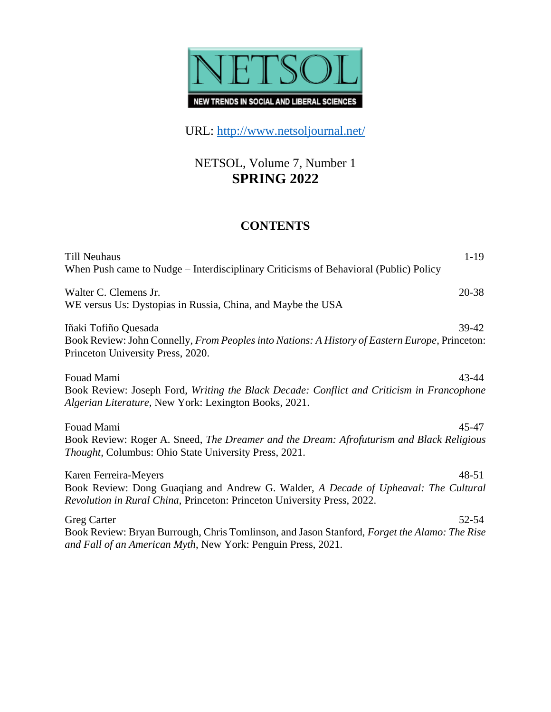

URL:<http://www.netsoljournal.net/>

## NETSOL, Volume 7, Number 1 **SPRING 2022**

### **CONTENTS**

| $1-19$<br><b>Till Neuhaus</b><br>When Push came to Nudge – Interdisciplinary Criticisms of Behavioral (Public) Policy                                                                                |
|------------------------------------------------------------------------------------------------------------------------------------------------------------------------------------------------------|
| 20-38<br>Walter C. Clemens Jr.<br>WE versus Us: Dystopias in Russia, China, and Maybe the USA                                                                                                        |
| Iñaki Tofiño Quesada<br>$39-42$<br>Book Review: John Connelly, From Peoples into Nations: A History of Eastern Europe, Princeton:<br>Princeton University Press, 2020.                               |
| Fouad Mami<br>43-44<br>Book Review: Joseph Ford, Writing the Black Decade: Conflict and Criticism in Francophone<br>Algerian Literature, New York: Lexington Books, 2021.                            |
| Fouad Mami<br>45-47<br>Book Review: Roger A. Sneed, The Dreamer and the Dream: Afrofuturism and Black Religious<br>Thought, Columbus: Ohio State University Press, 2021.                             |
| $48 - 51$<br>Karen Ferreira-Meyers<br>Book Review: Dong Guaqiang and Andrew G. Walder, A Decade of Upheaval: The Cultural<br>Revolution in Rural China, Princeton: Princeton University Press, 2022. |
| <b>Greg Carter</b><br>52-54<br>Book Review: Bryan Burrough, Chris Tomlinson, and Jason Stanford, Forget the Alamo: The Rise<br>and Fall of an American Myth, New York: Penguin Press, 2021.          |